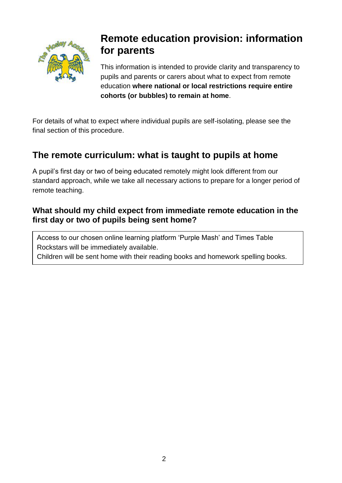

# **Remote education provision: information for parents**

This information is intended to provide clarity and transparency to pupils and parents or carers about what to expect from remote education **where national or local restrictions require entire cohorts (or bubbles) to remain at home**.

For details of what to expect where individual pupils are self-isolating, please see the final section of this procedure.

### **The remote curriculum: what is taught to pupils at home**

A pupil's first day or two of being educated remotely might look different from our standard approach, while we take all necessary actions to prepare for a longer period of remote teaching.

#### **What should my child expect from immediate remote education in the first day or two of pupils being sent home?**

Access to our chosen online learning platform 'Purple Mash' and Times Table Rockstars will be immediately available.

Children will be sent home with their reading books and homework spelling books.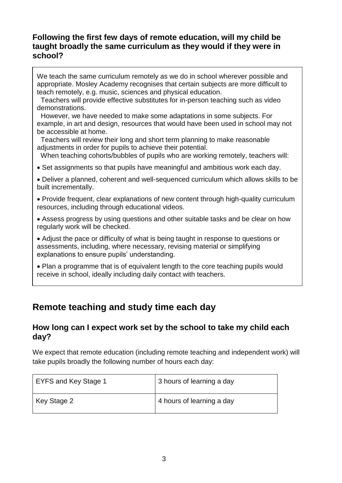#### **Following the first few days of remote education, will my child be taught broadly the same curriculum as they would if they were in school?**

We teach the same curriculum remotely as we do in school wherever possible and appropriate. Mosley Academy recognises that certain subjects are more difficult to teach remotely, e.g. music, sciences and physical education.

 Teachers will provide effective substitutes for in-person teaching such as video demonstrations.

 However, we have needed to make some adaptations in some subjects. For example, in art and design, resources that would have been used in school may not be accessible at home.

 Teachers will review their long and short term planning to make reasonable adjustments in order for pupils to achieve their potential.

When teaching cohorts/bubbles of pupils who are working remotely, teachers will:

Set assignments so that pupils have meaningful and ambitious work each day.

 Deliver a planned, coherent and well-sequenced curriculum which allows skills to be built incrementally.

 Provide frequent, clear explanations of new content through high-quality curriculum resources, including through educational videos.

 Assess progress by using questions and other suitable tasks and be clear on how regularly work will be checked.

 Adjust the pace or difficulty of what is being taught in response to questions or assessments, including, where necessary, revising material or simplifying explanations to ensure pupils' understanding.

• Plan a programme that is of equivalent length to the core teaching pupils would receive in school, ideally including daily contact with teachers.

### **Remote teaching and study time each day**

 $\overline{a}$ 

#### **How long can I expect work set by the school to take my child each day?**

We expect that remote education (including remote teaching and independent work) will take pupils broadly the following number of hours each day:

| EYFS and Key Stage 1 | 3 hours of learning a day |
|----------------------|---------------------------|
| Key Stage 2          | 4 hours of learning a day |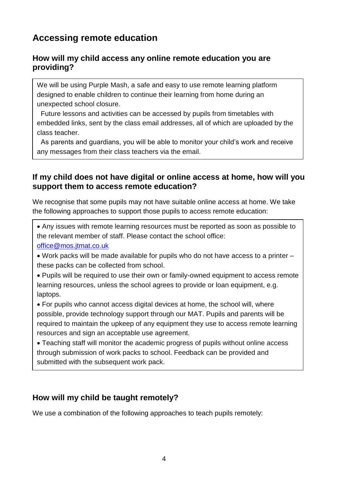### **Accessing remote education**

#### **How will my child access any online remote education you are providing?**

We will be using Purple Mash, a safe and easy to use remote learning platform designed to enable children to continue their learning from home during an unexpected school closure.

 Future lessons and activities can be accessed by pupils from timetables with embedded links, sent by the class email addresses, all of which are uploaded by the class teacher.

 As parents and guardians, you will be able to monitor your child's work and receive any messages from their class teachers via the email.

#### **If my child does not have digital or online access at home, how will you support them to access remote education?**

We recognise that some pupils may not have suitable online access at home. We take the following approaches to support those pupils to access remote education:

 Any issues with remote learning resources must be reported as soon as possible to the relevant member of staff. Please contact the school office: [office@mos.jtmat.co.uk](mailto:office@mos.jtmat.co.uk)

 Work packs will be made available for pupils who do not have access to a printer – these packs can be collected from school.

• Pupils will be required to use their own or family-owned equipment to access remote learning resources, unless the school agrees to provide or loan equipment, e.g. laptops.

 For pupils who cannot access digital devices at home, the school will, where possible, provide technology support through our MAT. Pupils and parents will be required to maintain the upkeep of any equipment they use to access remote learning resources and sign an acceptable use agreement.

 Teaching staff will monitor the academic progress of pupils without online access through submission of work packs to school. Feedback can be provided and submitted with the subsequent work pack.

#### **How will my child be taught remotely?**

We use a combination of the following approaches to teach pupils remotely: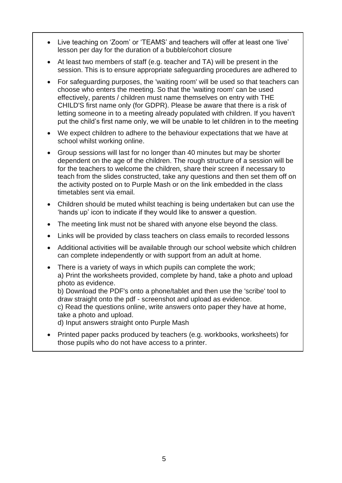- Live teaching on 'Zoom' or 'TEAMS' and teachers will offer at least one 'live' lesson per day for the duration of a bubble/cohort closure
- At least two members of staff (e.g. teacher and TA) will be present in the session. This is to ensure appropriate safeguarding procedures are adhered to
- For safeguarding purposes, the 'waiting room' will be used so that teachers can choose who enters the meeting. So that the 'waiting room' can be used effectively, parents / children must name themselves on entry with THE CHILD'S first name only (for GDPR). Please be aware that there is a risk of letting someone in to a meeting already populated with children. If you haven't put the child's first name only, we will be unable to let children in to the meeting
- We expect children to adhere to the behaviour expectations that we have at school whilst working online.
- Group sessions will last for no longer than 40 minutes but may be shorter dependent on the age of the children. The rough structure of a session will be for the teachers to welcome the children, share their screen if necessary to teach from the slides constructed, take any questions and then set them off on the activity posted on to Purple Mash or on the link embedded in the class timetables sent via email.
- Children should be muted whilst teaching is being undertaken but can use the 'hands up' icon to indicate if they would like to answer a question.
- The meeting link must not be shared with anyone else beyond the class.
- Links will be provided by class teachers on class emails to recorded lessons
- Additional activities will be available through our school website which children can complete independently or with support from an adult at home.
- There is a variety of ways in which pupils can complete the work; a) Print the worksheets provided, complete by hand, take a photo and upload photo as evidence.

b) Download the PDF's onto a phone/tablet and then use the 'scribe' tool to draw straight onto the pdf - screenshot and upload as evidence.

c) Read the questions online, write answers onto paper they have at home, take a photo and upload.

d) Input answers straight onto Purple Mash

 Printed paper packs produced by teachers (e.g. workbooks, worksheets) for those pupils who do not have access to a printer.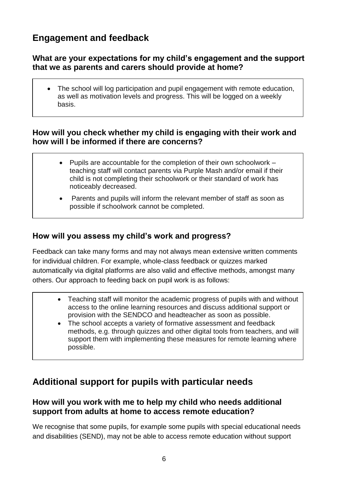### **Engagement and feedback**

#### **What are your expectations for my child's engagement and the support that we as parents and carers should provide at home?**

 The school will log participation and pupil engagement with remote education, as well as motivation levels and progress. This will be logged on a weekly basis.

#### **How will you check whether my child is engaging with their work and how will I be informed if there are concerns?**

- $\bullet$  Pupils are accountable for the completion of their own schoolwork  $$ teaching staff will contact parents via Purple Mash and/or email if their child is not completing their schoolwork or their standard of work has noticeably decreased.
- Parents and pupils will inform the relevant member of staff as soon as possible if schoolwork cannot be completed.

#### **How will you assess my child's work and progress?**

Feedback can take many forms and may not always mean extensive written comments for individual children. For example, whole-class feedback or quizzes marked automatically via digital platforms are also valid and effective methods, amongst many others. Our approach to feeding back on pupil work is as follows:

- Teaching staff will monitor the academic progress of pupils with and without access to the online learning resources and discuss additional support or provision with the SENDCO and headteacher as soon as possible.
- The school accepts a variety of formative assessment and feedback methods, e.g. through quizzes and other digital tools from teachers, and will support them with implementing these measures for remote learning where possible.

### **Additional support for pupils with particular needs**

#### **How will you work with me to help my child who needs additional support from adults at home to access remote education?**

We recognise that some pupils, for example some pupils with special educational needs and disabilities (SEND), may not be able to access remote education without support